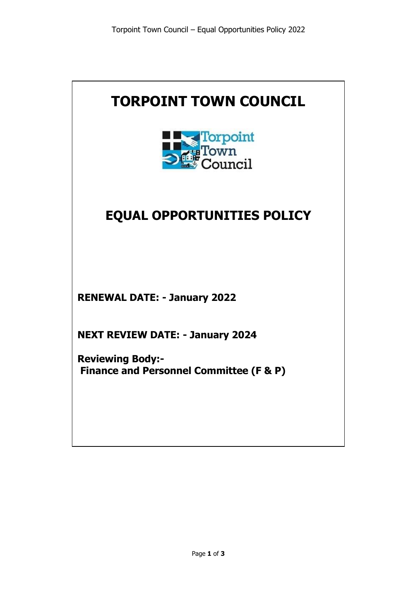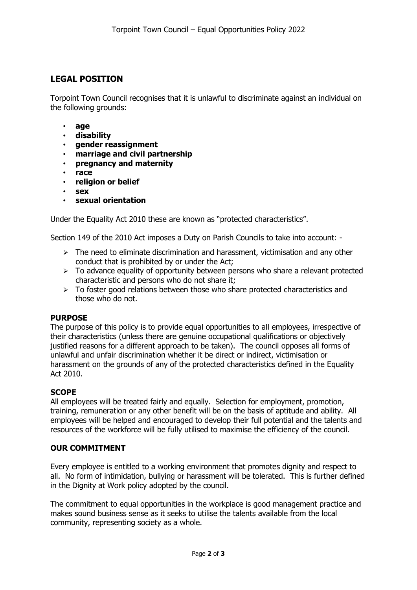## **LEGAL POSITION**

Torpoint Town Council recognises that it is unlawful to discriminate against an individual on the following grounds:

- **age**
- **disability**
- **gender reassignment**
- **marriage and civil partnership**
- **pregnancy and maternity**
- **race**
- **religion or belief**
- **sex**
- **sexual orientation**

Under the Equality Act 2010 these are known as "protected characteristics".

Section 149 of the 2010 Act imposes a Duty on Parish Councils to take into account: -

- $\triangleright$  The need to eliminate discrimination and harassment, victimisation and any other conduct that is prohibited by or under the Act;
- $\triangleright$  To advance equality of opportunity between persons who share a relevant protected characteristic and persons who do not share it;
- $\triangleright$  To foster good relations between those who share protected characteristics and those who do not.

## **PURPOSE**

The purpose of this policy is to provide equal opportunities to all employees, irrespective of their characteristics (unless there are genuine occupational qualifications or objectively justified reasons for a different approach to be taken). The council opposes all forms of unlawful and unfair discrimination whether it be direct or indirect, victimisation or harassment on the grounds of any of the protected characteristics defined in the Equality Act 2010.

## **SCOPE**

All employees will be treated fairly and equally. Selection for employment, promotion, training, remuneration or any other benefit will be on the basis of aptitude and ability. All employees will be helped and encouraged to develop their full potential and the talents and resources of the workforce will be fully utilised to maximise the efficiency of the council.

## **OUR COMMITMENT**

Every employee is entitled to a working environment that promotes dignity and respect to all. No form of intimidation, bullying or harassment will be tolerated. This is further defined in the Dignity at Work policy adopted by the council.

The commitment to equal opportunities in the workplace is good management practice and makes sound business sense as it seeks to utilise the talents available from the local community, representing society as a whole.